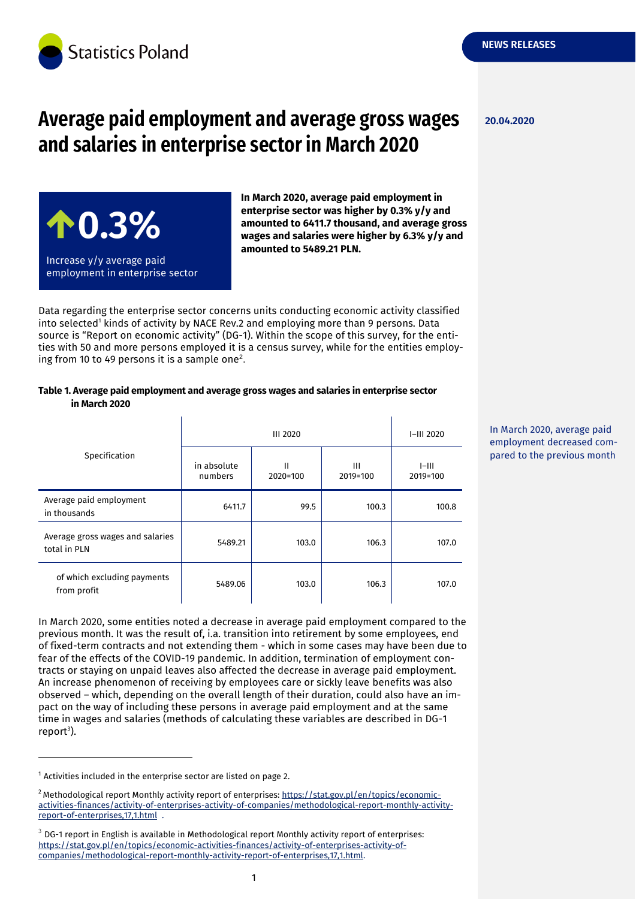

# **Average paid employment and average gross wages and salaries in enterprise sector in March 2020**



**In March 2020, average paid employment in enterprise sector was higher by 0.3% y/y and amounted to 6411.7 thousand, and average gross wages and salaries were higher by 6.3% y/y and amounted to 5489.21 PLN.**

Data regarding the enterprise sector concerns units conducting economic activity classified into selected<sup>1</sup> kinds of activity by NACE Rev.2 and employing more than 9 persons. Data source is "Report on economic activity" (DG-1). Within the scope of this survey, for the entities with 50 and more persons employed it is a census survey, while for the entities employing from 10 to 49 persons it is a sample one<sup>2</sup>.

| Table 1. Average paid employment and average gross wages and salaries in enterprise sector |  |
|--------------------------------------------------------------------------------------------|--|
| in March 2020                                                                              |  |

|                                                  | <b>III 2020</b>        |               |               | I-III 2020          |
|--------------------------------------------------|------------------------|---------------|---------------|---------------------|
| Specification                                    | in absolute<br>numbers | Ш<br>2020=100 | Ш<br>2019=100 | $I=III$<br>2019=100 |
| Average paid employment<br>in thousands          | 6411.7                 | 99.5          | 100.3         | 100.8               |
| Average gross wages and salaries<br>total in PLN | 5489.21                | 103.0         | 106.3         | 107.0               |
| of which excluding payments<br>from profit       | 5489.06                | 103.0         | 106.3         | 107.0               |

In March 2020, some entities noted a decrease in average paid employment compared to the previous month. It was the result of, i.a. transition into retirement by some employees, end of fixed-term contracts and not extending them - which in some cases may have been due to fear of the effects of the COVID-19 pandemic. In addition, termination of employment contracts or staying on unpaid leaves also affected the decrease in average paid employment. An increase phenomenon of receiving by employees care or sickly leave benefits was also observed – which, depending on the overall length of their duration, could also have an impact on the way of including these persons in average paid employment and at the same time in wages and salaries (methods of calculating these variables are described in DG-1 report<sup>3</sup>).

-

1

**20.04.2020**

In March 2020, average paid employment decreased compared to the previous month

 $1$  Activities included in the enterprise sector are listed on page 2.

<sup>&</sup>lt;sup>2</sup> Methodological report Monthly activity report of enterprises: [https://stat.gov.pl/en/topics/economic](https://stat.gov.pl/en/topics/economic-activities-finances/activity-of-enterprises-activity-of-companies/methodological-report-monthly-activity-report-of-enterprises,17,1.html)[activities-finances/activity-of-enterprises-activity-of-companies/methodological-report-monthly-activity](https://stat.gov.pl/en/topics/economic-activities-finances/activity-of-enterprises-activity-of-companies/methodological-report-monthly-activity-report-of-enterprises,17,1.html)[report-of-enterprises,17,1.html](https://stat.gov.pl/en/topics/economic-activities-finances/activity-of-enterprises-activity-of-companies/methodological-report-monthly-activity-report-of-enterprises,17,1.html) .

 $3$  DG-1 report in English is available in Methodological report Monthly activity report of enterprises: [https://stat.gov.pl/en/topics/economic-activities-finances/activity-of-enterprises-activity-of](https://stat.gov.pl/en/topics/economic-activities-finances/activity-of-enterprises-activity-of-companies/methodological-report-monthly-activity-report-of-enterprises,17,1.html)[companies/methodological-report-monthly-activity-report-of-enterprises,17,1.html.](https://stat.gov.pl/en/topics/economic-activities-finances/activity-of-enterprises-activity-of-companies/methodological-report-monthly-activity-report-of-enterprises,17,1.html)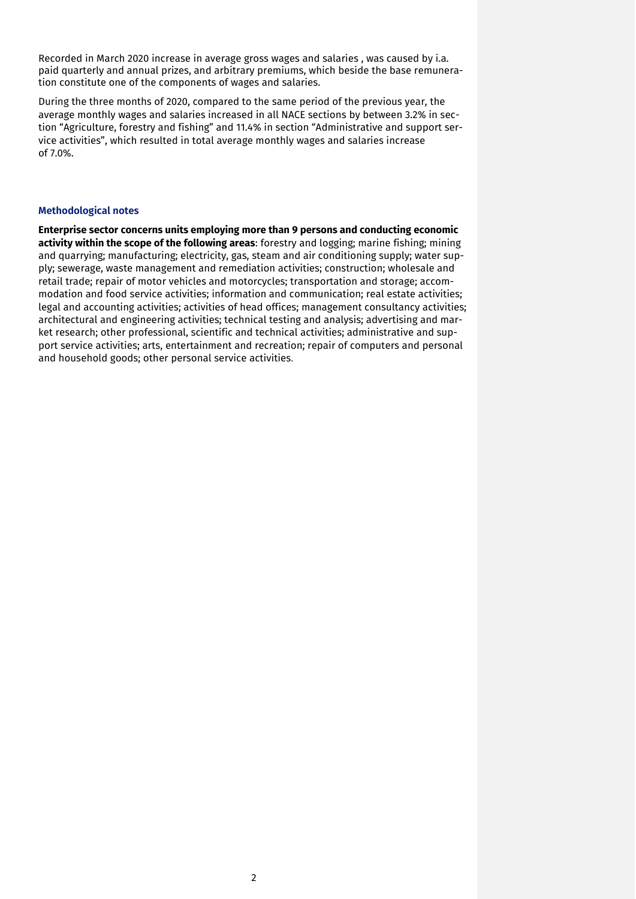Recorded in March 2020 increase in average gross wages and salaries , was caused by i.a. paid quarterly and annual prizes, and arbitrary premiums, which beside the base remuneration constitute one of the components of wages and salaries.

During the three months of 2020, compared to the same period of the previous year, the average monthly wages and salaries increased in all NACE sections by between 3.2% in section "Agriculture, forestry and fishing" and 11.4% in section "Administrative and support service activities", which resulted in total average monthly wages and salaries increase of 7.0%.

#### **Methodological notes**

**Enterprise sector concerns units employing more than 9 persons and conducting economic activity within the scope of the following areas**: forestry and logging; marine fishing; mining and quarrying; manufacturing; electricity, gas, steam and air conditioning supply; water supply; sewerage, waste management and remediation activities; construction; wholesale and retail trade; repair of motor vehicles and motorcycles; transportation and storage; accommodation and food service activities; information and communication; real estate activities; legal and accounting activities; activities of head offices; management consultancy activities; architectural and engineering activities; technical testing and analysis; advertising and market research; other professional, scientific and technical activities; administrative and support service activities; arts, entertainment and recreation; repair of computers and personal and household goods; other personal service activities.